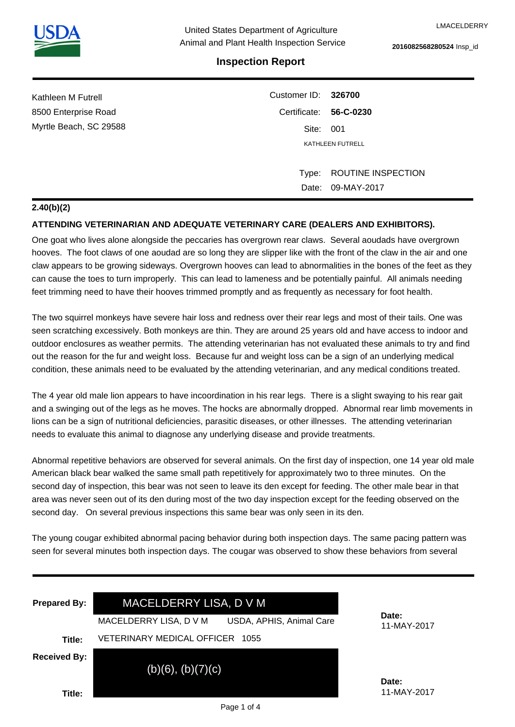# **Inspection Report**

| Kathleen M Futrell     | Customer ID: 326700    |                    |  |
|------------------------|------------------------|--------------------|--|
| 8500 Enterprise Road   | Certificate: 56-C-0230 |                    |  |
| Myrtle Beach, SC 29588 | Site: 001              |                    |  |
|                        |                        | KATHLEEN FUTRELL   |  |
|                        |                        |                    |  |
|                        | Type:                  | ROUTINE INSPECTION |  |
|                        | Date:                  | 09-MAY-2017        |  |

# **2.40(b)(2)**

# **ATTENDING VETERINARIAN AND ADEQUATE VETERINARY CARE (DEALERS AND EXHIBITORS).**

One goat who lives alone alongside the peccaries has overgrown rear claws. Several aoudads have overgrown hooves. The foot claws of one aoudad are so long they are slipper like with the front of the claw in the air and one claw appears to be growing sideways. Overgrown hooves can lead to abnormalities in the bones of the feet as they can cause the toes to turn improperly. This can lead to lameness and be potentially painful. All animals needing feet trimming need to have their hooves trimmed promptly and as frequently as necessary for foot health.

The two squirrel monkeys have severe hair loss and redness over their rear legs and most of their tails. One was seen scratching excessively. Both monkeys are thin. They are around 25 years old and have access to indoor and outdoor enclosures as weather permits. The attending veterinarian has not evaluated these animals to try and find out the reason for the fur and weight loss. Because fur and weight loss can be a sign of an underlying medical condition, these animals need to be evaluated by the attending veterinarian, and any medical conditions treated.

The 4 year old male lion appears to have incoordination in his rear legs. There is a slight swaying to his rear gait and a swinging out of the legs as he moves. The hocks are abnormally dropped. Abnormal rear limb movements in lions can be a sign of nutritional deficiencies, parasitic diseases, or other illnesses. The attending veterinarian needs to evaluate this animal to diagnose any underlying disease and provide treatments.

Abnormal repetitive behaviors are observed for several animals. On the first day of inspection, one 14 year old male American black bear walked the same small path repetitively for approximately two to three minutes. On the second day of inspection, this bear was not seen to leave its den except for feeding. The other male bear in that area was never seen out of its den during most of the two day inspection except for the feeding observed on the second day. On several previous inspections this same bear was only seen in its den.

The young cougar exhibited abnormal pacing behavior during both inspection days. The same pacing pattern was seen for several minutes both inspection days. The cougar was observed to show these behaviors from several

| <b>Prepared By:</b>           | MACELDERRY LISA, D V M<br>USDA, APHIS, Animal Care<br>MACELDERRY LISA, D V M | Date:                |
|-------------------------------|------------------------------------------------------------------------------|----------------------|
| Title:                        | <b>VETERINARY MEDICAL OFFICER</b><br>1055                                    | 11-MAY-2017          |
| <b>Received By:</b><br>Title: | $(b)(6)$ , $(b)(7)(c)$                                                       | Date:<br>11-MAY-2017 |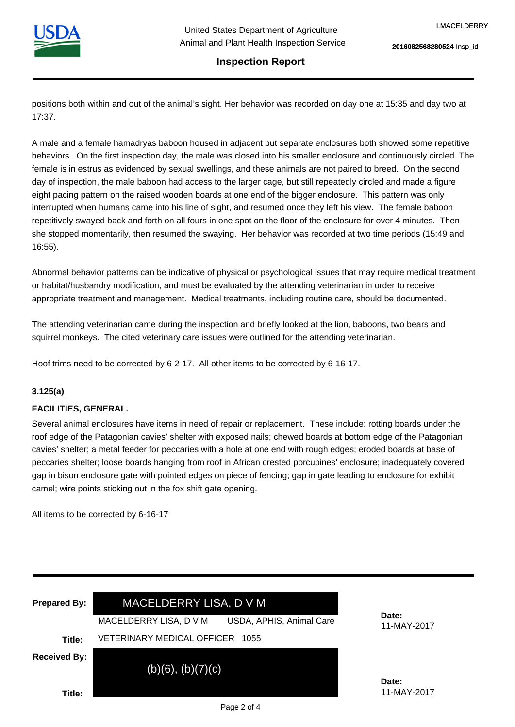

### **Inspection Report**

positions both within and out of the animal's sight. Her behavior was recorded on day one at 15:35 and day two at 17:37.

A male and a female hamadryas baboon housed in adjacent but separate enclosures both showed some repetitive behaviors. On the first inspection day, the male was closed into his smaller enclosure and continuously circled. The female is in estrus as evidenced by sexual swellings, and these animals are not paired to breed. On the second day of inspection, the male baboon had access to the larger cage, but still repeatedly circled and made a figure eight pacing pattern on the raised wooden boards at one end of the bigger enclosure. This pattern was only interrupted when humans came into his line of sight, and resumed once they left his view. The female baboon repetitively swayed back and forth on all fours in one spot on the floor of the enclosure for over 4 minutes. Then she stopped momentarily, then resumed the swaying. Her behavior was recorded at two time periods (15:49 and 16:55).

Abnormal behavior patterns can be indicative of physical or psychological issues that may require medical treatment or habitat/husbandry modification, and must be evaluated by the attending veterinarian in order to receive appropriate treatment and management. Medical treatments, including routine care, should be documented.

The attending veterinarian came during the inspection and briefly looked at the lion, baboons, two bears and squirrel monkeys. The cited veterinary care issues were outlined for the attending veterinarian.

Hoof trims need to be corrected by 6-2-17. All other items to be corrected by 6-16-17.

#### **3.125(a)**

### **FACILITIES, GENERAL.**

Several animal enclosures have items in need of repair or replacement. These include: rotting boards under the roof edge of the Patagonian cavies' shelter with exposed nails; chewed boards at bottom edge of the Patagonian cavies' shelter; a metal feeder for peccaries with a hole at one end with rough edges; eroded boards at base of peccaries shelter; loose boards hanging from roof in African crested porcupines' enclosure; inadequately covered gap in bison enclosure gate with pointed edges on piece of fencing; gap in gate leading to enclosure for exhibit camel; wire points sticking out in the fox shift gate opening.

All items to be corrected by 6-16-17

| <b>Prepared By:</b> | MACELDERRY LISA, D V M<br>USDA, APHIS, Animal Care<br>MACELDERRY LISA, D V M | Date:<br>11-MAY-2017 |
|---------------------|------------------------------------------------------------------------------|----------------------|
| Title:              | VETERINARY MEDICAL OFFICER<br>1055                                           |                      |
| <b>Received By:</b> | $(b)(6)$ , $(b)(7)(c)$                                                       | Date:                |
| Title:              |                                                                              | 11-MAY-2017          |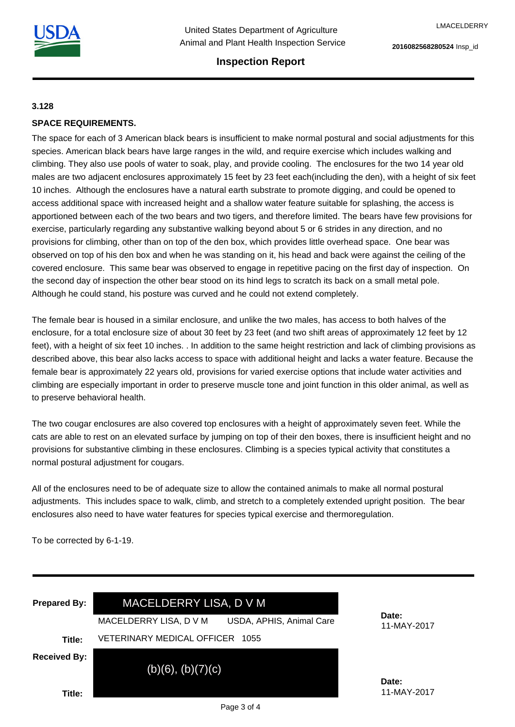

## **Inspection Report**

#### **3.128**

## **SPACE REQUIREMENTS.**

The space for each of 3 American black bears is insufficient to make normal postural and social adjustments for this species. American black bears have large ranges in the wild, and require exercise which includes walking and climbing. They also use pools of water to soak, play, and provide cooling. The enclosures for the two 14 year old males are two adjacent enclosures approximately 15 feet by 23 feet each(including the den), with a height of six feet 10 inches. Although the enclosures have a natural earth substrate to promote digging, and could be opened to access additional space with increased height and a shallow water feature suitable for splashing, the access is apportioned between each of the two bears and two tigers, and therefore limited. The bears have few provisions for exercise, particularly regarding any substantive walking beyond about 5 or 6 strides in any direction, and no provisions for climbing, other than on top of the den box, which provides little overhead space. One bear was observed on top of his den box and when he was standing on it, his head and back were against the ceiling of the covered enclosure. This same bear was observed to engage in repetitive pacing on the first day of inspection. On the second day of inspection the other bear stood on its hind legs to scratch its back on a small metal pole. Although he could stand, his posture was curved and he could not extend completely.

The female bear is housed in a similar enclosure, and unlike the two males, has access to both halves of the enclosure, for a total enclosure size of about 30 feet by 23 feet (and two shift areas of approximately 12 feet by 12 feet), with a height of six feet 10 inches. . In addition to the same height restriction and lack of climbing provisions as described above, this bear also lacks access to space with additional height and lacks a water feature. Because the female bear is approximately 22 years old, provisions for varied exercise options that include water activities and climbing are especially important in order to preserve muscle tone and joint function in this older animal, as well as to preserve behavioral health.

The two cougar enclosures are also covered top enclosures with a height of approximately seven feet. While the cats are able to rest on an elevated surface by jumping on top of their den boxes, there is insufficient height and no provisions for substantive climbing in these enclosures. Climbing is a species typical activity that constitutes a normal postural adjustment for cougars.

All of the enclosures need to be of adequate size to allow the contained animals to make all normal postural adjustments. This includes space to walk, climb, and stretch to a completely extended upright position. The bear enclosures also need to have water features for species typical exercise and thermoregulation.

To be corrected by 6-1-19.

| <b>Prepared By:</b> | MACELDERRY LISA, D V M<br>USDA, APHIS, Animal Care<br>MACELDERRY LISA, D V M | Date:<br>11-MAY-2017 |
|---------------------|------------------------------------------------------------------------------|----------------------|
| Title:              | VETERINARY MEDICAL OFFICER<br>1055                                           |                      |
| <b>Received By:</b> | $(b)(6)$ , $(b)(7)(c)$                                                       | Date:<br>11-MAY-2017 |
| Title:              |                                                                              |                      |